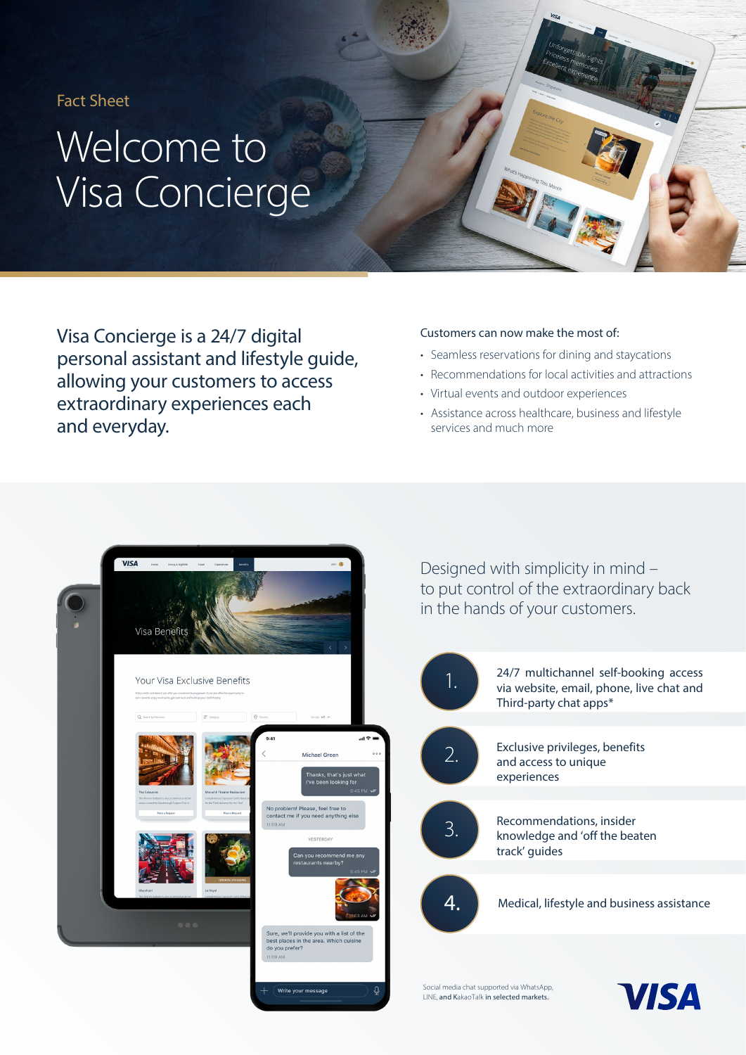Fact Sheet

# Welcome to Visa Concierge

Visa Concierge is a 24/7 digital personal assistant and lifestyle guide, allowing your customers to access extraordinary experiences each and everyday.

#### Customers can now make the most of:

- Seamless reservations for dining and staycations
- Recommendations for local activities and attractions
- Virtual events and outdoor experiences
- Assistance across healthcare, business and lifestyle services and much more



Designed with simplicity in mind – to put control of the extraordinary back in the hands of your customers.



Social media chat supported via WhatsApp, LINE, and KakaoTalk in selected markets.